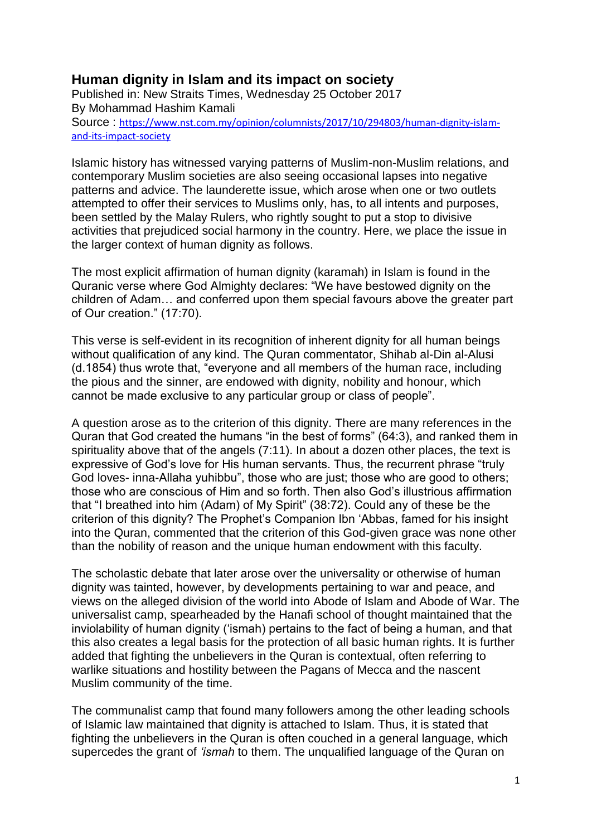## **Human dignity in Islam and its impact on society**

Published in: New Straits Times, Wednesday 25 October 2017 By Mohammad Hashim Kamali Source : [https://www.nst.com.my/opinion/columnists/2017/10/294803/human-dignity-islam](https://www.nst.com.my/opinion/columnists/2017/10/294803/human-dignity-islam-and-its-impact-society)[and-its-impact-society](https://www.nst.com.my/opinion/columnists/2017/10/294803/human-dignity-islam-and-its-impact-society)

Islamic history has witnessed varying patterns of Muslim-non-Muslim relations, and contemporary Muslim societies are also seeing occasional lapses into negative patterns and advice. The launderette issue, which arose when one or two outlets attempted to offer their services to Muslims only, has, to all intents and purposes, been settled by the Malay Rulers, who rightly sought to put a stop to divisive activities that prejudiced social harmony in the country. Here, we place the issue in the larger context of human dignity as follows.

The most explicit affirmation of human dignity (karamah) in Islam is found in the Quranic verse where God Almighty declares: "We have bestowed dignity on the children of Adam… and conferred upon them special favours above the greater part of Our creation." (17:70).

This verse is self-evident in its recognition of inherent dignity for all human beings without qualification of any kind. The Quran commentator, Shihab al-Din al-Alusi (d.1854) thus wrote that, "everyone and all members of the human race, including the pious and the sinner, are endowed with dignity, nobility and honour, which cannot be made exclusive to any particular group or class of people".

A question arose as to the criterion of this dignity. There are many references in the Quran that God created the humans "in the best of forms" (64:3), and ranked them in spirituality above that of the angels (7:11). In about a dozen other places, the text is expressive of God's love for His human servants. Thus, the recurrent phrase "truly God loves- inna-Allaha yuhibbu", those who are just; those who are good to others; those who are conscious of Him and so forth. Then also God's illustrious affirmation that "I breathed into him (Adam) of My Spirit" (38:72). Could any of these be the criterion of this dignity? The Prophet's Companion Ibn 'Abbas, famed for his insight into the Quran, commented that the criterion of this God-given grace was none other than the nobility of reason and the unique human endowment with this faculty.

The scholastic debate that later arose over the universality or otherwise of human dignity was tainted, however, by developments pertaining to war and peace, and views on the alleged division of the world into Abode of Islam and Abode of War. The universalist camp, spearheaded by the Hanafi school of thought maintained that the inviolability of human dignity ('ismah) pertains to the fact of being a human, and that this also creates a legal basis for the protection of all basic human rights. It is further added that fighting the unbelievers in the Quran is contextual, often referring to warlike situations and hostility between the Pagans of Mecca and the nascent Muslim community of the time.

The communalist camp that found many followers among the other leading schools of Islamic law maintained that dignity is attached to Islam. Thus, it is stated that fighting the unbelievers in the Quran is often couched in a general language, which supercedes the grant of *'ismah* to them. The unqualified language of the Quran on